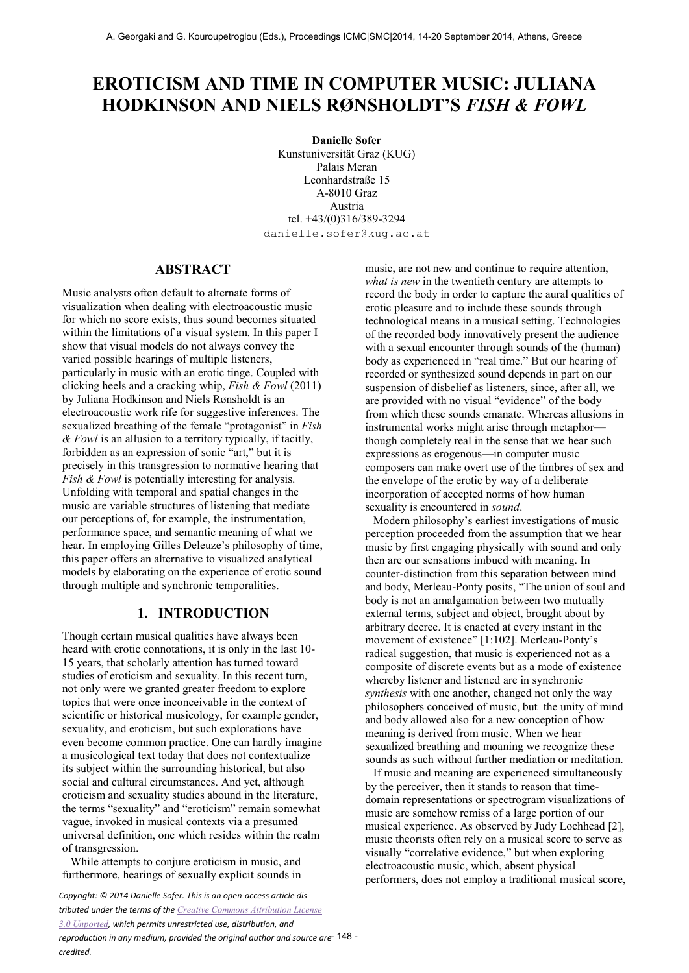# **EROTICISM AND TIME IN COMPUTER MUSIC: JULIANA HODKINSON AND NIELS RØNSHOLDT'S** *FISH & FOWL*

**Danielle Sofer**  Kunstuniversität Graz (KUG) Palais Meran Leonhardstraße 15 A-8010 Graz Austria tel. +43/(0)316/389-3294 danielle.sofer@kug.ac.at

## **ABSTRACT**

Music analysts often default to alternate forms of visualization when dealing with electroacoustic music for which no score exists, thus sound becomes situated within the limitations of a visual system. In this paper I show that visual models do not always convey the varied possible hearings of multiple listeners, particularly in music with an erotic tinge. Coupled with clicking heels and a cracking whip, *Fish & Fowl* (2011) by Juliana Hodkinson and Niels Rønsholdt is an electroacoustic work rife for suggestive inferences. The sexualized breathing of the female "protagonist" in *Fish & Fowl* is an allusion to a territory typically, if tacitly, forbidden as an expression of sonic "art," but it is precisely in this transgression to normative hearing that *Fish & Fowl* is potentially interesting for analysis. Unfolding with temporal and spatial changes in the music are variable structures of listening that mediate our perceptions of, for example, the instrumentation, performance space, and semantic meaning of what we hear. In employing Gilles Deleuze's philosophy of time, this paper offers an alternative to visualized analytical models by elaborating on the experience of erotic sound through multiple and synchronic temporalities.

#### **1. INTRODUCTION**

Though certain musical qualities have always been heard with erotic connotations, it is only in the last 10- 15 years, that scholarly attention has turned toward studies of eroticism and sexuality. In this recent turn, not only were we granted greater freedom to explore topics that were once inconceivable in the context of scientific or historical musicology, for example gender, sexuality, and eroticism, but such explorations have even become common practice. One can hardly imagine a musicological text today that does not contextualize its subject within the surrounding historical, but also social and cultural circumstances. And yet, although eroticism and sexuality studies abound in the literature, the terms "sexuality" and "eroticism" remain somewhat vague, invoked in musical contexts via a presumed universal definition, one which resides within the realm of transgression.

While attempts to conjure eroticism in music, and furthermore, hearings of sexually explicit sounds in

*Copyright: © 2014 Danielle Sofer. This is an open-access article distributed under the terms of the [Creative Commons Attribution License](http://creativecommons.org/licenses/by/3.0/)  [3.0 Unported](http://creativecommons.org/licenses/by/3.0/), which permits unrestricted use, distribution, and reproduction in any medium, provided the original author and source are*  - 148 *credited.*

music, are not new and continue to require attention, *what is new* in the twentieth century are attempts to record the body in order to capture the aural qualities of erotic pleasure and to include these sounds through technological means in a musical setting. Technologies of the recorded body innovatively present the audience with a sexual encounter through sounds of the (human) body as experienced in "real time." But our hearing of recorded or synthesized sound depends in part on our suspension of disbelief as listeners, since, after all, we are provided with no visual "evidence" of the body from which these sounds emanate. Whereas allusions in instrumental works might arise through metaphor though completely real in the sense that we hear such expressions as erogenous—in computer music composers can make overt use of the timbres of sex and the envelope of the erotic by way of a deliberate incorporation of accepted norms of how human sexuality is encountered in *sound*.

Modern philosophy's earliest investigations of music perception proceeded from the assumption that we hear music by first engaging physically with sound and only then are our sensations imbued with meaning. In counter-distinction from this separation between mind and body, Merleau-Ponty posits, "The union of soul and body is not an amalgamation between two mutually external terms, subject and object, brought about by arbitrary decree. It is enacted at every instant in the movement of existence" [1:102]. Merleau-Ponty's radical suggestion, that music is experienced not as a composite of discrete events but as a mode of existence whereby listener and listened are in synchronic *synthesis* with one another, changed not only the way philosophers conceived of music, but the unity of mind and body allowed also for a new conception of how meaning is derived from music. When we hear sexualized breathing and moaning we recognize these sounds as such without further mediation or meditation.

If music and meaning are experienced simultaneously by the perceiver, then it stands to reason that timedomain representations or spectrogram visualizations of music are somehow remiss of a large portion of our musical experience. As observed by Judy Lochhead [2], music theorists often rely on a musical score to serve as visually "correlative evidence," but when exploring electroacoustic music, which, absent physical performers, does not employ a traditional musical score,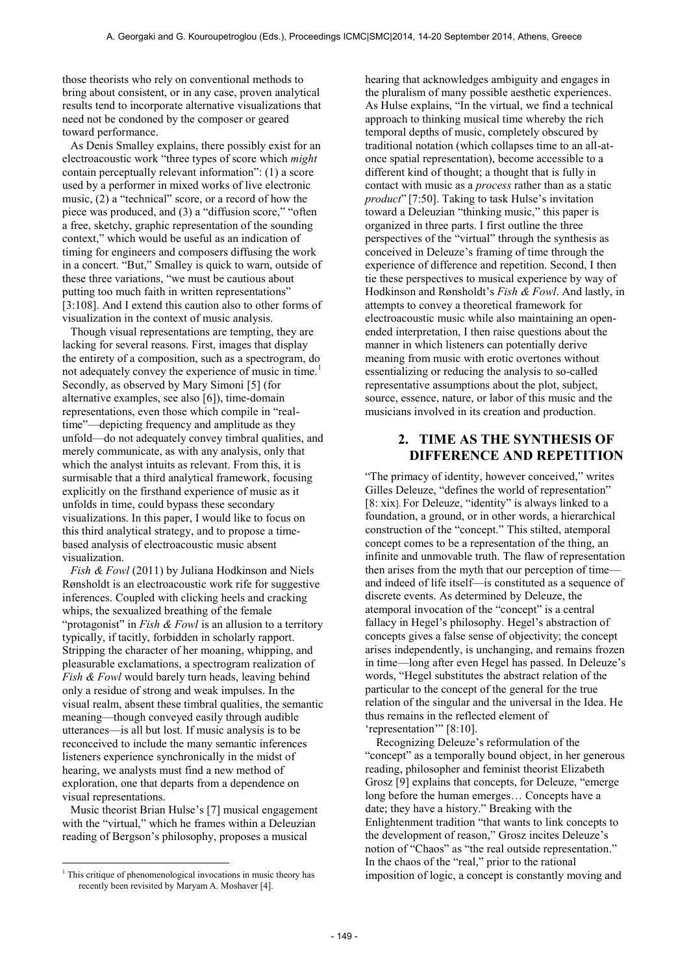those theorists who rely on conventional methods to bring about consistent, or in any case, proven analytical results tend to incorporate alternative visualizations that need not be condoned by the composer or geared toward performance.

As Denis Smalley explains, there possibly exist for an electroacoustic work "three types of score which *might*  contain perceptually relevant information": (1) a score used by a performer in mixed works of live electronic music, (2) a "technical" score, or a record of how the piece was produced, and (3) a "diffusion score," "often a free, sketchy, graphic representation of the sounding context," which would be useful as an indication of timing for engineers and composers diffusing the work in a concert. "But," Smalley is quick to warn, outside of these three variations, "we must be cautious about putting too much faith in written representations" [3:108]. And I extend this caution also to other forms of visualization in the context of music analysis.

Though visual representations are tempting, they are lacking for several reasons. First, images that display the entirety of a composition, such as a spectrogram, do not adequately convey the experience of music in time.<sup>1</sup> Secondly, as observed by Mary Simoni [5] (for alternative examples, see also [6]), time-domain representations, even those which compile in "realtime"—depicting frequency and amplitude as they unfold—do not adequately convey timbral qualities, and merely communicate, as with any analysis, only that which the analyst intuits as relevant. From this, it is surmisable that a third analytical framework, focusing explicitly on the firsthand experience of music as it unfolds in time, could bypass these secondary visualizations. In this paper, I would like to focus on this third analytical strategy, and to propose a timebased analysis of electroacoustic music absent visualization.

*Fish & Fowl* (2011) by Juliana Hodkinson and Niels Rønsholdt is an electroacoustic work rife for suggestive inferences. Coupled with clicking heels and cracking whips, the sexualized breathing of the female "protagonist" in *Fish & Fowl* is an allusion to a territory typically, if tacitly, forbidden in scholarly rapport. Stripping the character of her moaning, whipping, and pleasurable exclamations, a spectrogram realization of *Fish & Fowl* would barely turn heads, leaving behind only a residue of strong and weak impulses. In the visual realm, absent these timbral qualities, the semantic meaning—though conveyed easily through audible utterances—is all but lost. If music analysis is to be reconceived to include the many semantic inferences listeners experience synchronically in the midst of hearing, we analysts must find a new method of exploration, one that departs from a dependence on visual representations.

Music theorist Brian Hulse's [7] musical engagement with the "virtual," which he frames within a Deleuzian reading of Bergson's philosophy, proposes a musical

 $\overline{a}$ 

hearing that acknowledges ambiguity and engages in the pluralism of many possible aesthetic experiences. As Hulse explains, "In the virtual, we find a technical approach to thinking musical time whereby the rich temporal depths of music, completely obscured by traditional notation (which collapses time to an all-atonce spatial representation), become accessible to a different kind of thought; a thought that is fully in contact with music as a *process* rather than as a static *product*" [7:50]. Taking to task Hulse's invitation toward a Deleuzian "thinking music," this paper is organized in three parts. I first outline the three perspectives of the "virtual" through the synthesis as conceived in Deleuze's framing of time through the experience of difference and repetition. Second, I then tie these perspectives to musical experience by way of Hodkinson and Rønsholdt's *Fish & Fowl*. And lastly, in attempts to convey a theoretical framework for electroacoustic music while also maintaining an openended interpretation, I then raise questions about the manner in which listeners can potentially derive meaning from music with erotic overtones without essentializing or reducing the analysis to so-called representative assumptions about the plot, subject, source, essence, nature, or labor of this music and the musicians involved in its creation and production.

## **2. TIME AS THE SYNTHESIS OF DIFFERENCE AND REPETITION**

"The primacy of identity, however conceived," writes Gilles Deleuze, "defines the world of representation" [8: xix]. For Deleuze, "identity" is always linked to a foundation, a ground, or in other words, a hierarchical construction of the "concept." This stilted, atemporal concept comes to be a representation of the thing, an infinite and unmovable truth. The flaw of representation then arises from the myth that our perception of time and indeed of life itself—is constituted as a sequence of discrete events. As determined by Deleuze, the atemporal invocation of the "concept" is a central fallacy in Hegel's philosophy. Hegel's abstraction of concepts gives a false sense of objectivity; the concept arises independently, is unchanging, and remains frozen in time—long after even Hegel has passed. In Deleuze's words, "Hegel substitutes the abstract relation of the particular to the concept of the general for the true relation of the singular and the universal in the Idea. He thus remains in the reflected element of 'representation'" [8:10].

 Recognizing Deleuze's reformulation of the "concept" as a temporally bound object, in her generous reading, philosopher and feminist theorist Elizabeth Grosz [9] explains that concepts, for Deleuze, "emerge long before the human emerges… Concepts have a date; they have a history." Breaking with the Enlightenment tradition "that wants to link concepts to the development of reason," Grosz incites Deleuze's notion of "Chaos" as "the real outside representation." In the chaos of the "real," prior to the rational imposition of logic, a concept is constantly moving and

<sup>&</sup>lt;sup>1</sup> This critique of phenomenological invocations in music theory has recently been revisited by Maryam A. Moshaver [4].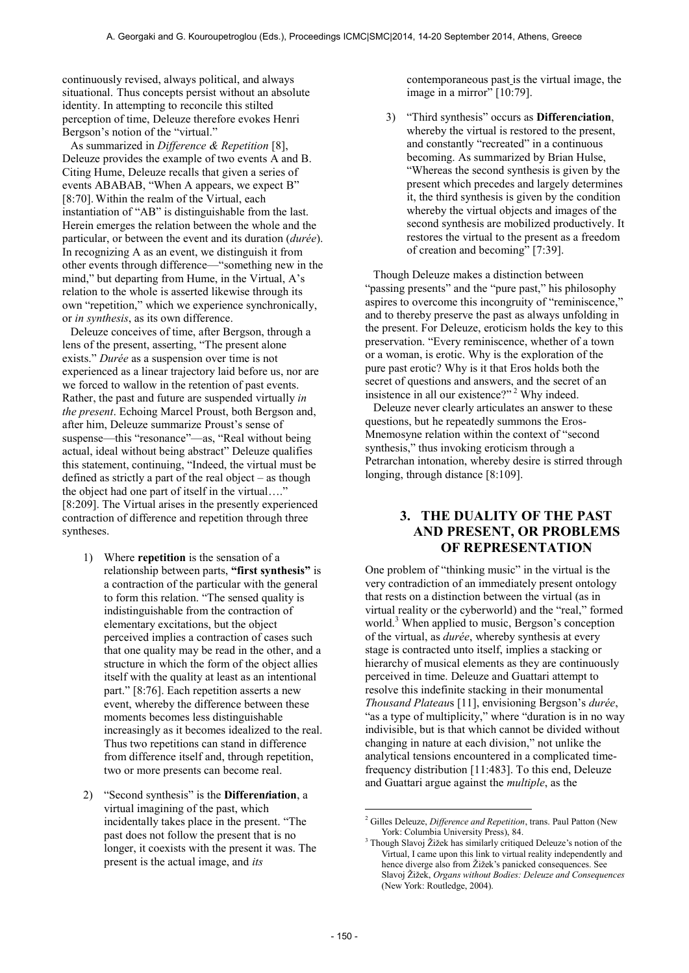continuously revised, always political, and always situational. Thus concepts persist without an absolute identity. In attempting to reconcile this stilted perception of time, Deleuze therefore evokes Henri Bergson's notion of the "virtual."

As summarized in *Difference & Repetition* [8], Deleuze provides the example of two events A and B. Citing Hume, Deleuze recalls that given a series of events ABABAB, "When A appears, we expect B" [8:70]. Within the realm of the Virtual, each instantiation of "AB" is distinguishable from the last. Herein emerges the relation between the whole and the particular, or between the event and its duration (*durée*). In recognizing A as an event, we distinguish it from other events through difference—"something new in the mind," but departing from Hume, in the Virtual, A's relation to the whole is asserted likewise through its own "repetition," which we experience synchronically, or *in synthesis*, as its own difference.

Deleuze conceives of time, after Bergson, through a lens of the present, asserting, "The present alone exists." *Durée* as a suspension over time is not experienced as a linear trajectory laid before us, nor are we forced to wallow in the retention of past events. Rather, the past and future are suspended virtually *in the present*. Echoing Marcel Proust, both Bergson and, after him, Deleuze summarize Proust's sense of suspense—this "resonance"—as, "Real without being actual, ideal without being abstract" Deleuze qualifies this statement, continuing, "Indeed, the virtual must be defined as strictly a part of the real object – as though the object had one part of itself in the virtual…." [8:209]. The Virtual arises in the presently experienced contraction of difference and repetition through three syntheses.

- 1) Where **repetition** is the sensation of a relationship between parts, **"first synthesis"** is a contraction of the particular with the general to form this relation. "The sensed quality is indistinguishable from the contraction of elementary excitations, but the object perceived implies a contraction of cases such that one quality may be read in the other, and a structure in which the form of the object allies itself with the quality at least as an intentional part." [8:76]. Each repetition asserts a new event, whereby the difference between these moments becomes less distinguishable increasingly as it becomes idealized to the real. Thus two repetitions can stand in difference from difference itself and, through repetition, two or more presents can become real.
- 2) "Second synthesis" is the **Differen***t***iation**, a virtual imagining of the past, which incidentally takes place in the present. "The past does not follow the present that is no longer, it coexists with the present it was. The present is the actual image, and *its*

contemporaneous past is the virtual image, the image in a mirror" [10:79].

3) "Third synthesis" occurs as **Differen***c***iation**, whereby the virtual is restored to the present, and constantly "recreated" in a continuous becoming. As summarized by Brian Hulse, "Whereas the second synthesis is given by the present which precedes and largely determines it, the third synthesis is given by the condition whereby the virtual objects and images of the second synthesis are mobilized productively. It restores the virtual to the present as a freedom of creation and becoming" [7:39].

Though Deleuze makes a distinction between "passing presents" and the "pure past," his philosophy aspires to overcome this incongruity of "reminiscence," and to thereby preserve the past as always unfolding in the present. For Deleuze, eroticism holds the key to this preservation. "Every reminiscence, whether of a town or a woman, is erotic. Why is the exploration of the pure past erotic? Why is it that Eros holds both the secret of questions and answers, and the secret of an insistence in all our existence?"<sup>2</sup> Why indeed.

Deleuze never clearly articulates an answer to these questions, but he repeatedly summons the Eros-Mnemosyne relation within the context of "second synthesis," thus invoking eroticism through a Petrarchan intonation, whereby desire is stirred through longing, through distance [8:109].

# **3. THE DUALITY OF THE PAST AND PRESENT, OR PROBLEMS OF REPRESENTATION**

One problem of "thinking music" in the virtual is the very contradiction of an immediately present ontology that rests on a distinction between the virtual (as in virtual reality or the cyberworld) and the "real," formed world.<sup>3</sup> When applied to music, Bergson's conception of the virtual, as *durée*, whereby synthesis at every stage is contracted unto itself, implies a stacking or hierarchy of musical elements as they are continuously perceived in time. Deleuze and Guattari attempt to resolve this indefinite stacking in their monumental *Thousand Plateau*s [11], envisioning Bergson's *durée*, "as a type of multiplicity," where "duration is in no way indivisible, but is that which cannot be divided without changing in nature at each division," not unlike the analytical tensions encountered in a complicated timefrequency distribution [11:483]. To this end, Deleuze and Guattari argue against the *multiple*, as the

 $\overline{a}$ 

<sup>2</sup> Gilles Deleuze, *Difference and Repetition*, trans. Paul Patton (New York: Columbia University Press), 84.

<sup>&</sup>lt;sup>3</sup> Though Slavoj Žižek has similarly critiqued Deleuze's notion of the Virtual, I came upon this link to virtual reality independently and hence diverge also from Žižek's panicked consequences. See Slavoj Žižek, *Organs without Bodies: Deleuze and Consequences* (New York: Routledge, 2004).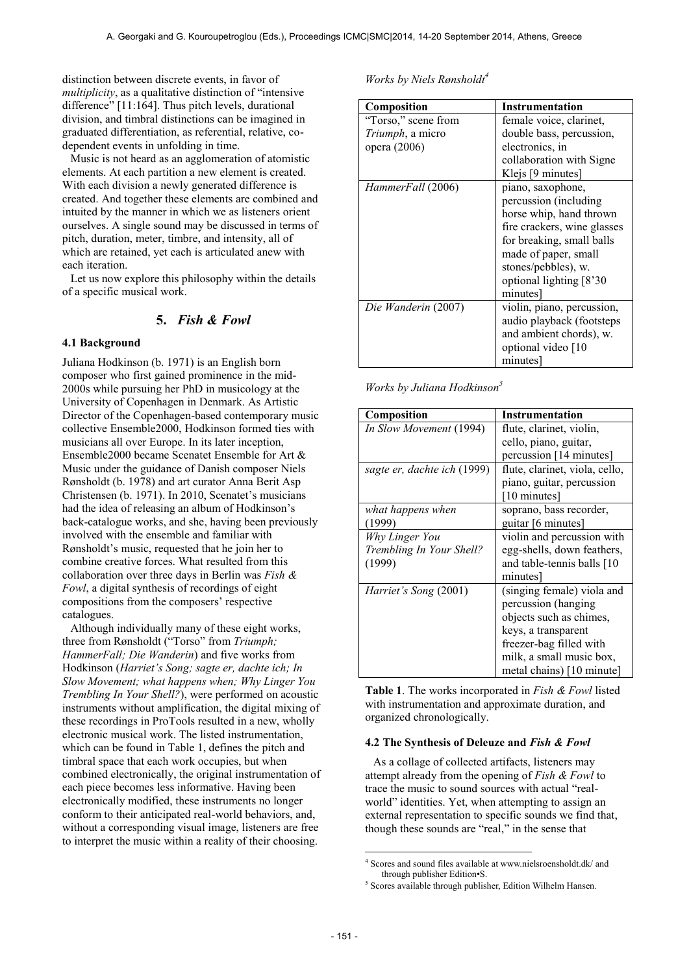distinction between discrete events, in favor of *multiplicity*, as a qualitative distinction of "intensive difference" [11:164]. Thus pitch levels, durational division, and timbral distinctions can be imagined in graduated differentiation, as referential, relative, codependent events in unfolding in time.

Music is not heard as an agglomeration of atomistic elements. At each partition a new element is created. With each division a newly generated difference is created. And together these elements are combined and intuited by the manner in which we as listeners orient ourselves. A single sound may be discussed in terms of pitch, duration, meter, timbre, and intensity, all of which are retained, yet each is articulated anew with each iteration.

Let us now explore this philosophy within the details of a specific musical work.

## **5.** *Fish & Fowl*

#### **4.1 Background**

Juliana Hodkinson (b. 1971) is an English born composer who first gained prominence in the mid-2000s while pursuing her PhD in musicology at the University of Copenhagen in Denmark. As Artistic Director of the Copenhagen-based contemporary music collective Ensemble2000, Hodkinson formed ties with musicians all over Europe. In its later inception, Ensemble2000 became Scenatet Ensemble for Art & Music under the guidance of Danish composer Niels Rønsholdt (b. 1978) and art curator Anna Berit Asp Christensen (b. 1971). In 2010, Scenatet's musicians had the idea of releasing an album of Hodkinson's back-catalogue works, and she, having been previously involved with the ensemble and familiar with Rønsholdt's music, requested that he join her to combine creative forces. What resulted from this collaboration over three days in Berlin was *Fish & Fowl*, a digital synthesis of recordings of eight compositions from the composers' respective catalogues.

Although individually many of these eight works, three from Rønsholdt ("Torso" from *Triumph; HammerFall; Die Wanderin*) and five works from Hodkinson (*Harriet's Song; sagte er, dachte ich; In Slow Movement; what happens when; Why Linger You Trembling In Your Shell?*), were performed on acoustic instruments without amplification, the digital mixing of these recordings in ProTools resulted in a new, wholly electronic musical work. The listed instrumentation, which can be found in Table 1, defines the pitch and timbral space that each work occupies, but when combined electronically, the original instrumentation of each piece becomes less informative. Having been electronically modified, these instruments no longer conform to their anticipated real-world behaviors, and, without a corresponding visual image, listeners are free to interpret the music within a reality of their choosing.

*Works by Niels Rønsholdt<sup>4</sup>*

| Composition              | <b>Instrumentation</b>      |
|--------------------------|-----------------------------|
| "Torso," scene from      | female voice, clarinet,     |
| <i>Triumph</i> , a micro | double bass, percussion,    |
| opera (2006)             | electronics, in             |
|                          | collaboration with Signe    |
|                          | Klejs [9 minutes]           |
| HammerFall (2006)        | piano, saxophone,           |
|                          | percussion (including       |
|                          | horse whip, hand thrown     |
|                          | fire crackers, wine glasses |
|                          | for breaking, small balls   |
|                          | made of paper, small        |
|                          | stones/pebbles), w.         |
|                          | optional lighting [8'30]    |
|                          | minutes                     |
| Die Wanderin (2007)      | violin, piano, percussion,  |
|                          | audio playback (footsteps   |
|                          | and ambient chords), w.     |
|                          | optional video [10          |
|                          | minutes                     |

*Works by Juliana Hodkinson<sup>5</sup>*

|                             | Instrumentation                |
|-----------------------------|--------------------------------|
| Composition                 |                                |
| In Slow Movement (1994)     | flute, clarinet, violin,       |
|                             | cello, piano, guitar,          |
|                             | percussion [14 minutes]        |
| sagte er, dachte ich (1999) | flute, clarinet, viola, cello, |
|                             | piano, guitar, percussion      |
|                             | [10 minutes]                   |
| what happens when           | soprano, bass recorder,        |
| (1999)                      | guitar [6 minutes]             |
| Why Linger You              | violin and percussion with     |
| Trembling In Your Shell?    | egg-shells, down feathers,     |
| (1999)                      | and table-tennis balls [10]    |
|                             | minutes                        |
| Harriet's Song (2001)       | (singing female) viola and     |
|                             | percussion (hanging            |
|                             | objects such as chimes,        |
|                             | keys, a transparent            |
|                             | freezer-bag filled with        |
|                             | milk, a small music box,       |
|                             | metal chains) [10 minute]      |

**Table 1**. The works incorporated in *Fish & Fowl* listed with instrumentation and approximate duration, and organized chronologically.

#### **4.2 The Synthesis of Deleuze and** *Fish & Fowl*

As a collage of collected artifacts, listeners may attempt already from the opening of *Fish & Fowl* to trace the music to sound sources with actual "realworld" identities. Yet, when attempting to assign an external representation to specific sounds we find that, though these sounds are "real," in the sense that

 $\overline{a}$ 

<sup>4</sup> Scores and sound files available at www.nielsroensholdt.dk/ and through publisher Edition•S.

<sup>&</sup>lt;sup>5</sup> Scores available through publisher, Edition Wilhelm Hansen.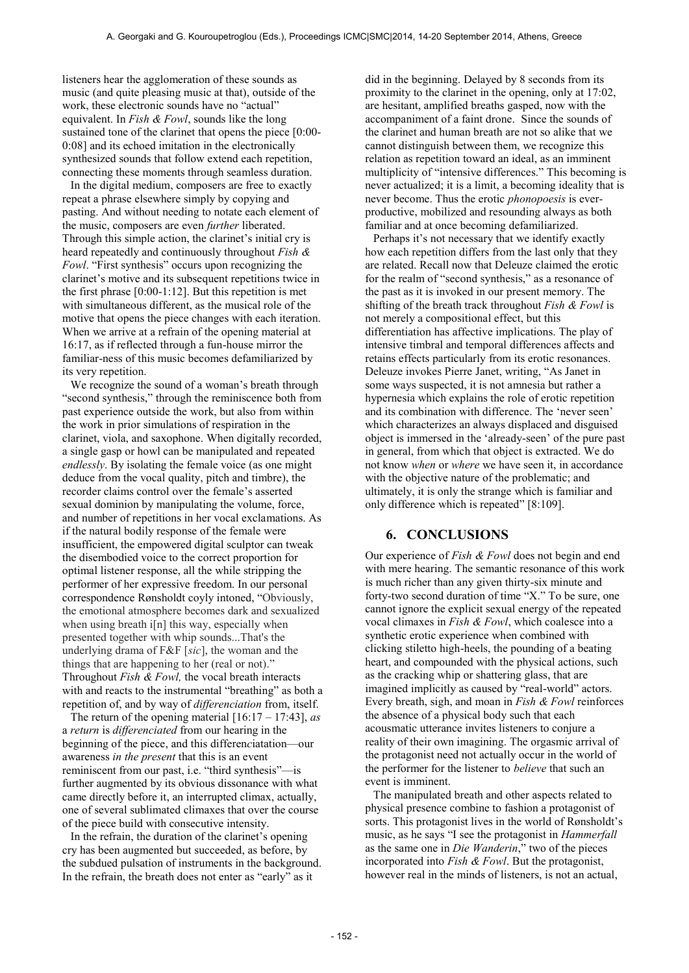listeners hear the agglomeration of these sounds as music (and quite pleasing music at that), outside of the work, these electronic sounds have no "actual" equivalent. In *Fish & Fowl*, sounds like the long sustained tone of the clarinet that opens the piece [0:00-0:08] and its echoed imitation in the electronically synthesized sounds that follow extend each repetition, connecting these moments through seamless duration.

In the digital medium, composers are free to exactly repeat a phrase elsewhere simply by copying and pasting. And without needing to notate each element of the music, composers are even *further* liberated. Through this simple action, the clarinet's initial cry is heard repeatedly and continuously throughout *Fish & Fowl*. "First synthesis" occurs upon recognizing the clarinet's motive and its subsequent repetitions twice in the first phrase [0:00-1:12]. But this repetition is met with simultaneous different, as the musical role of the motive that opens the piece changes with each iteration. When we arrive at a refrain of the opening material at 16:17, as if reflected through a fun-house mirror the familiar-ness of this music becomes defamiliarized by its very repetition.

We recognize the sound of a woman's breath through "second synthesis," through the reminiscence both from past experience outside the work, but also from within the work in prior simulations of respiration in the clarinet, viola, and saxophone. When digitally recorded, a single gasp or howl can be manipulated and repeated *endlessly*. By isolating the female voice (as one might deduce from the vocal quality, pitch and timbre), the recorder claims control over the female's asserted sexual dominion by manipulating the volume, force, and number of repetitions in her vocal exclamations. As if the natural bodily response of the female were insufficient, the empowered digital sculptor can tweak the disembodied voice to the correct proportion for optimal listener response, all the while stripping the performer of her expressive freedom. In our personal correspondence Rønsholdt coyly intoned, "Obviously, the emotional atmosphere becomes dark and sexualized when using breath i[n] this way, especially when presented together with whip sounds...That's the underlying drama of F&F [*sic*], the woman and the things that are happening to her (real or not)." Throughout *Fish & Fowl,* the vocal breath interacts with and reacts to the instrumental "breathing" as both a repetition of, and by way of *differenciation* from, itself.

The return of the opening material [16:17 – 17:43], *as* a *return* is *differenciated* from our hearing in the beginning of the piece, and this differen*c*iatation—our awareness *in the present* that this is an event reminiscent from our past, i.e. "third synthesis"—is further augmented by its obvious dissonance with what came directly before it, an interrupted climax, actually, one of several sublimated climaxes that over the course of the piece build with consecutive intensity.

In the refrain, the duration of the clarinet's opening cry has been augmented but succeeded, as before, by the subdued pulsation of instruments in the background. In the refrain, the breath does not enter as "early" as it

did in the beginning. Delayed by 8 seconds from its proximity to the clarinet in the opening, only at 17:02, are hesitant, amplified breaths gasped, now with the accompaniment of a faint drone. Since the sounds of the clarinet and human breath are not so alike that we cannot distinguish between them, we recognize this relation as repetition toward an ideal, as an imminent multiplicity of "intensive differences." This becoming is never actualized; it is a limit, a becoming ideality that is never become. Thus the erotic *phonopoesis* is everproductive, mobilized and resounding always as both familiar and at once becoming defamiliarized.

Perhaps it's not necessary that we identify exactly how each repetition differs from the last only that they are related. Recall now that Deleuze claimed the erotic for the realm of "second synthesis," as a resonance of the past as it is invoked in our present memory. The shifting of the breath track throughout *Fish & Fowl* is not merely a compositional effect, but this differentiation has affective implications. The play of intensive timbral and temporal differences affects and retains effects particularly from its erotic resonances. Deleuze invokes Pierre Janet, writing, "As Janet in some ways suspected, it is not amnesia but rather a hypernesia which explains the role of erotic repetition and its combination with difference. The 'never seen' which characterizes an always displaced and disguised object is immersed in the 'already-seen' of the pure past in general, from which that object is extracted. We do not know *when* or *where* we have seen it, in accordance with the objective nature of the problematic; and ultimately, it is only the strange which is familiar and only difference which is repeated" [8:109].

## **6. CONCLUSIONS**

Our experience of *Fish & Fowl* does not begin and end with mere hearing. The semantic resonance of this work is much richer than any given thirty-six minute and forty-two second duration of time "X." To be sure, one cannot ignore the explicit sexual energy of the repeated vocal climaxes in *Fish & Fowl*, which coalesce into a synthetic erotic experience when combined with clicking stiletto high-heels, the pounding of a beating heart, and compounded with the physical actions, such as the cracking whip or shattering glass, that are imagined implicitly as caused by "real-world" actors. Every breath, sigh, and moan in *Fish & Fowl* reinforces the absence of a physical body such that each acousmatic utterance invites listeners to conjure a reality of their own imagining. The orgasmic arrival of the protagonist need not actually occur in the world of the performer for the listener to *believe* that such an event is imminent.

The manipulated breath and other aspects related to physical presence combine to fashion a protagonist of sorts. This protagonist lives in the world of Rønsholdt's music, as he says "I see the protagonist in *Hammerfall* as the same one in *Die Wanderin*," two of the pieces incorporated into *Fish & Fowl*. But the protagonist, however real in the minds of listeners, is not an actual,